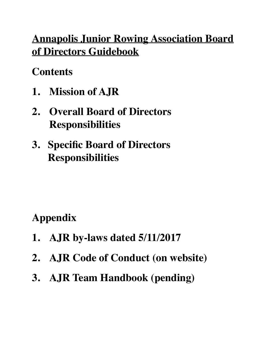## **Annapolis Junior Rowing Association Board of Directors Guidebook**

## **Contents**

- **1. Mission of AJR**
- **2. Overall Board of Directors Responsibilities**
- **3. Specific Board of Directors Responsibilities**

# **Appendix**

- **1. AJR by-laws dated 5/11/2017**
- **2. AJR Code of Conduct (on website)**
- **3. AJR Team Handbook (pending)**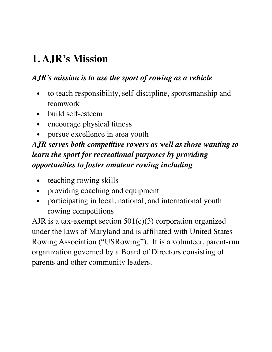# **1. AJR's Mission**

#### *AJR's mission is to use the sport of rowing as a vehicle*

- to teach responsibility, self-discipline, sportsmanship and teamwork
- build self-esteem
- encourage physical fitness
- pursue excellence in area youth

### *AJR serves both competitive rowers as well as those wanting to learn the sport for recreational purposes by providing opportunities to foster amateur rowing including*

- teaching rowing skills
- providing coaching and equipment
- participating in local, national, and international youth rowing competitions

AJR is a tax-exempt section  $501(c)(3)$  corporation organized under the laws of Maryland and is affiliated with United States Rowing Association ("USRowing"). It is a volunteer, parent-run organization governed by a Board of Directors consisting of parents and other community leaders.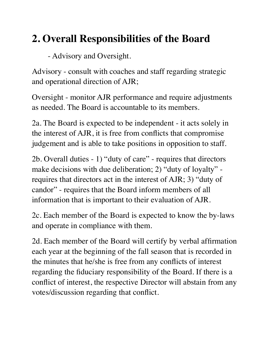## **2. Overall Responsibilities of the Board**

- Advisory and Oversight.

Advisory - consult with coaches and staff regarding strategic and operational direction of AJR;

Oversight - monitor AJR performance and require adjustments as needed. The Board is accountable to its members.

2a. The Board is expected to be independent - it acts solely in the interest of AJR, it is free from conflicts that compromise judgement and is able to take positions in opposition to staff.

2b. Overall duties - 1) "duty of care" - requires that directors make decisions with due deliberation; 2) "duty of loyalty" requires that directors act in the interest of AJR; 3) "duty of candor" - requires that the Board inform members of all information that is important to their evaluation of AJR.

2c. Each member of the Board is expected to know the by-laws and operate in compliance with them.

2d. Each member of the Board will certify by verbal affirmation each year at the beginning of the fall season that is recorded in the minutes that he/she is free from any conflicts of interest regarding the fiduciary responsibility of the Board. If there is a conflict of interest, the respective Director will abstain from any votes/discussion regarding that conflict.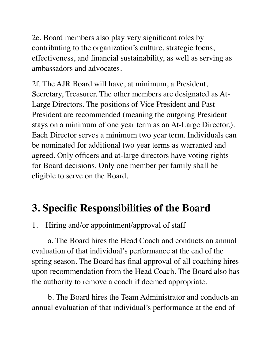2e. Board members also play very significant roles by contributing to the organization's culture, strategic focus, effectiveness, and financial sustainability, as well as serving as ambassadors and advocates.

2f. The AJR Board will have, at minimum, a President, Secretary, Treasurer. The other members are designated as At-Large Directors. The positions of Vice President and Past President are recommended (meaning the outgoing President stays on a minimum of one year term as an At-Large Director.). Each Director serves a minimum two year term. Individuals can be nominated for additional two year terms as warranted and agreed. Only officers and at-large directors have voting rights for Board decisions. Only one member per family shall be eligible to serve on the Board.

### **3. Specific Responsibilities of the Board**

1. Hiring and/or appointment/approval of staff

a. The Board hires the Head Coach and conducts an annual evaluation of that individual's performance at the end of the spring season. The Board has final approval of all coaching hires upon recommendation from the Head Coach. The Board also has the authority to remove a coach if deemed appropriate.

b. The Board hires the Team Administrator and conducts an annual evaluation of that individual's performance at the end of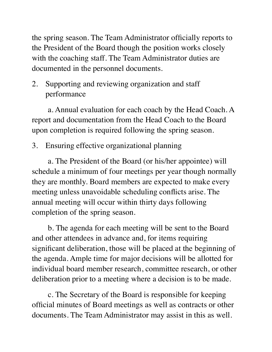the spring season. The Team Administrator officially reports to the President of the Board though the position works closely with the coaching staff. The Team Administrator duties are documented in the personnel documents.

2. Supporting and reviewing organization and staff performance

a. Annual evaluation for each coach by the Head Coach. A report and documentation from the Head Coach to the Board upon completion is required following the spring season.

3. Ensuring effective organizational planning

a. The President of the Board (or his/her appointee) will schedule a minimum of four meetings per year though normally they are monthly. Board members are expected to make every meeting unless unavoidable scheduling conflicts arise. The annual meeting will occur within thirty days following completion of the spring season.

b. The agenda for each meeting will be sent to the Board and other attendees in advance and, for items requiring significant deliberation, those will be placed at the beginning of the agenda. Ample time for major decisions will be allotted for individual board member research, committee research, or other deliberation prior to a meeting where a decision is to be made.

c. The Secretary of the Board is responsible for keeping official minutes of Board meetings as well as contracts or other documents. The Team Administrator may assist in this as well.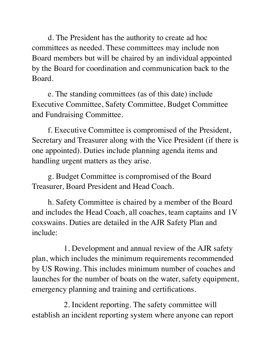d. The President has the authority to create ad hoc committees as needed. These committees may include non Board members but will be chaired by an individual appointed by the Board for coordination and communication back to the Board.

e. The standing committees (as of this date) include Executive Committee, Safety Committee, Budget Committee and Fundraising Committee.

f. Executive Committee is compromised of the President, Secretary and Treasurer along with the Vice President (if there is one appointed). Duties include planning agenda items and handling urgent matters as they arise.

g. Budget Committee is compromised of the Board Treasurer, Board President and Head Coach.

h. Safety Committee is chaired by a member of the Board and includes the Head Coach, all coaches, team captains and 1V coxswains. Duties are detailed in the AJR Safety Plan and include:

1. Development and annual review of the AJR safety plan, which includes the minimum requirements recommended by US Rowing. This includes minimum number of coaches and launches for the number of boats on the water, safety equipment, emergency planning and training and certifications.

2. Incident reporting. The safety committee will establish an incident reporting system where anyone can report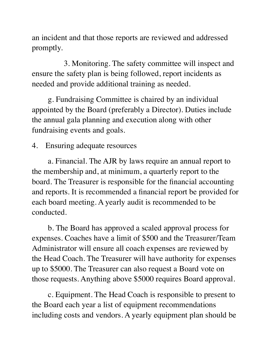an incident and that those reports are reviewed and addressed promptly.

3. Monitoring. The safety committee will inspect and ensure the safety plan is being followed, report incidents as needed and provide additional training as needed.

g. Fundraising Committee is chaired by an individual appointed by the Board (preferably a Director). Duties include the annual gala planning and execution along with other fundraising events and goals.

4. Ensuring adequate resources

a. Financial. The AJR by laws require an annual report to the membership and, at minimum, a quarterly report to the board. The Treasurer is responsible for the financial accounting and reports. It is recommended a financial report be provided for each board meeting. A yearly audit is recommended to be conducted.

b. The Board has approved a scaled approval process for expenses. Coaches have a limit of \$500 and the Treasurer/Team Administrator will ensure all coach expenses are reviewed by the Head Coach. The Treasurer will have authority for expenses up to \$5000. The Treasurer can also request a Board vote on those requests. Anything above \$5000 requires Board approval.

c. Equipment. The Head Coach is responsible to present to the Board each year a list of equipment recommendations including costs and vendors. A yearly equipment plan should be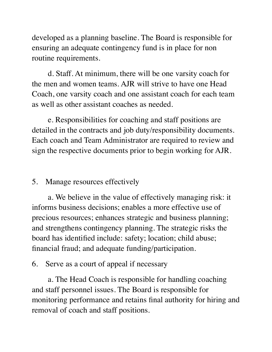developed as a planning baseline. The Board is responsible for ensuring an adequate contingency fund is in place for non routine requirements.

d. Staff. At minimum, there will be one varsity coach for the men and women teams. AJR will strive to have one Head Coach, one varsity coach and one assistant coach for each team as well as other assistant coaches as needed.

e. Responsibilities for coaching and staff positions are detailed in the contracts and job duty/responsibility documents. Each coach and Team Administrator are required to review and sign the respective documents prior to begin working for AJR.

#### 5. Manage resources effectively

a. We believe in the value of effectively managing risk: it informs business decisions; enables a more effective use of precious resources; enhances strategic and business planning; and strengthens contingency planning. The strategic risks the board has identified include: safety; location; child abuse; financial fraud; and adequate funding/participation.

#### 6. Serve as a court of appeal if necessary

a. The Head Coach is responsible for handling coaching and staff personnel issues. The Board is responsible for monitoring performance and retains final authority for hiring and removal of coach and staff positions.